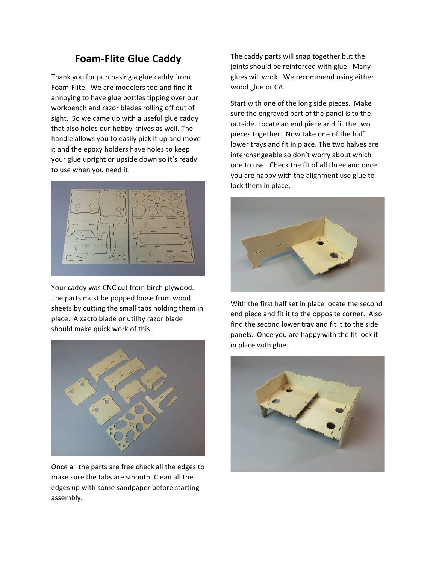## **Foam-Flite Glue Caddy**

Thank you for purchasing a glue caddy from Foam-Flite. We are modelers too and find it annoying to have glue bottles tipping over our workbench and razor blades rolling off out of sight. So we came up with a useful glue caddy that also holds our hobby knives as well. The handle allows you to easily pick it up and move it and the epoxy holders have holes to keep your glue upright or upside down so it's ready to use when you need it.



Your caddy was CNC cut from birch plywood. The parts must be popped loose from wood sheets by cutting the small tabs holding them in place. A xacto blade or utility razor blade should make quick work of this.



Once all the parts are free check all the edges to make sure the tabs are smooth. Clean all the edges up with some sandpaper before starting assembly. 

The caddy parts will snap together but the joints should be reinforced with glue. Many glues will work. We recommend using either wood glue or CA.

Start with one of the long side pieces. Make sure the engraved part of the panel is to the outside. Locate an end piece and fit the two pieces together. Now take one of the half lower trays and fit in place. The two halves are interchangeable so don't worry about which one to use. Check the fit of all three and once you are happy with the alignment use glue to lock them in place.



With the first half set in place locate the second end piece and fit it to the opposite corner. Also find the second lower tray and fit it to the side panels. Once you are happy with the fit lock it in place with glue.